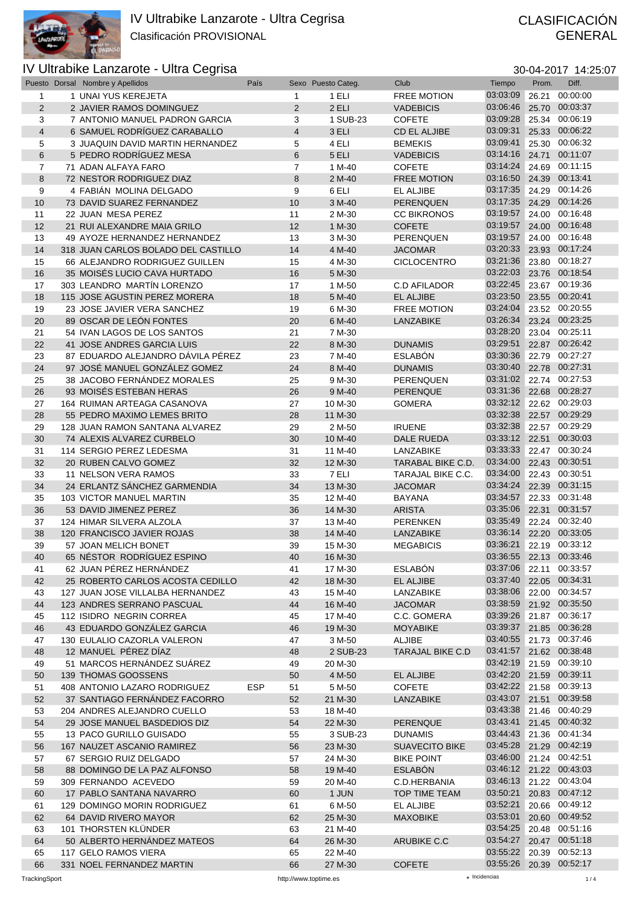

# GENERAL

## IV Ultrabike Lanzarote - Ultra Cegrisa 30-04-2017 14:25:07

|  | 30-04-2017 14:25:0 |
|--|--------------------|
|  |                    |

|                | Puesto Dorsal Nombre y Apellidos    | País       |                | Sexo Puesto Categ. | Club                    | Tiempo                  | Prom. | Diff.                   |
|----------------|-------------------------------------|------------|----------------|--------------------|-------------------------|-------------------------|-------|-------------------------|
| 1              | 1 UNAI YUS KEREJETA                 |            | $\mathbf{1}$   | 1 ELI              | <b>FREE MOTION</b>      | 03:03:09                | 26.21 | 00:00:00                |
| $\overline{2}$ | 2 JAVIER RAMOS DOMINGUEZ            |            | $\overline{2}$ | 2 ELI              | <b>VADEBICIS</b>        | 03:06:46                | 25.70 | 00:03:37                |
| 3              | 7 ANTONIO MANUEL PADRON GARCIA      |            | 3              | 1 SUB-23           | <b>COFETE</b>           | 03:09:28                |       | 25.34 00:06:19          |
| $\overline{4}$ | 6 SAMUEL RODRÍGUEZ CARABALLO        |            | $\overline{4}$ |                    |                         | 03:09:31                |       | 25.33 00:06:22          |
|                |                                     |            |                | 3 ELI              | <b>CD EL ALJIBE</b>     |                         |       |                         |
| 5              | 3 JUAQUIN DAVID MARTIN HERNANDEZ    |            | 5              | 4 ELI              | <b>BEMEKIS</b>          | 03:09:41                |       | 25.30 00:06:32          |
| 6              | 5 PEDRO RODRÍGUEZ MESA              |            | 6              | 5 ELI              | <b>VADEBICIS</b>        | 03:14:16                | 24.71 | 00:11:07                |
| $\overline{7}$ | 71 ADAN ALFAYA FARO                 |            | $\overline{7}$ | 1 M-40             | <b>COFETE</b>           | 03:14:24                |       | 24.69 00:11:15          |
| 8              | 72 NESTOR RODRIGUEZ DIAZ            |            | 8              | 2 M-40             | <b>FREE MOTION</b>      | 03:16:50                |       | 24.39 00:13:41          |
| 9              | 4 FABIÁN MOLINA DELGADO             |            | 9              | 6 ELI              | <b>EL ALJIBE</b>        | 03:17:35                |       | 24.29 00:14:26          |
|                |                                     |            |                |                    |                         | 03:17:35                |       | 24.29 00:14:26          |
| 10             | 73 DAVID SUAREZ FERNANDEZ           |            | 10             | 3 M-40             | <b>PERENQUEN</b>        |                         |       |                         |
| 11             | 22 JUAN MESA PEREZ                  |            | 11             | 2 M-30             | <b>CC BIKRONOS</b>      | 03:19:57                |       | 24.00 00:16:48          |
| 12             | 21 RUI ALEXANDRE MAIA GRILO         |            | 12             | 1 M-30             | <b>COFETE</b>           | 03:19:57                |       | 24.00 00:16:48          |
| 13             | 49 AYOZE HERNANDEZ HERNANDEZ        |            | 13             | 3 M-30             | PERENQUEN               | 03:19:57                |       | 24.00 00:16:48          |
| 14             | 318 JUAN CARLOS BOLADO DEL CASTILLO |            | 14             | 4 M-40             | <b>JACOMAR</b>          | 03:20:33                |       | 23.93 00:17:24          |
| 15             | 66 ALEJANDRO RODRIGUEZ GUILLEN      |            | 15             | 4 M-30             | <b>CICLOCENTRO</b>      | 03:21:36                |       | 23.80 00:18:27          |
|                |                                     |            |                |                    |                         | 03:22:03                |       | 23.76 00:18:54          |
| 16             | 35 MOISÉS LUCIO CAVA HURTADO        |            | 16             | 5 M-30             |                         |                         |       |                         |
| 17             | 303 LEANDRO MARTÍN LORENZO          |            | 17             | 1 M-50             | <b>C.D AFILADOR</b>     | 03:22:45                |       | 23.67 00:19:36          |
| 18             | 115 JOSE AGUSTIN PEREZ MORERA       |            | 18             | 5 M-40             | <b>EL ALJIBE</b>        | 03:23:50                |       | 23.55 00:20:41          |
| 19             | 23 JOSE JAVIER VERA SANCHEZ         |            | 19             | 6 M-30             | <b>FREE MOTION</b>      | 03:24:04                |       | 23.52 00:20:55          |
| 20             | 89 OSCAR DE LEÓN FONTES             |            | 20             | 6 M-40             | <b>LANZABIKE</b>        | 03:26:34                |       | 23.24 00:23:25          |
| 21             | 54 IVAN LAGOS DE LOS SANTOS         |            | 21             | 7 M-30             |                         | 03:28:20                |       | 23.04 00:25:11          |
|                |                                     |            |                |                    |                         | 03:29:51                |       |                         |
| 22             | 41 JOSE ANDRES GARCIA LUIS          |            | 22             | 8 M-30             | <b>DUNAMIS</b>          |                         |       | 22.87 00:26:42          |
| 23             | 87 EDUARDO ALEJANDRO DÁVILA PÉREZ   |            | 23             | 7 M-40             | <b>ESLABÓN</b>          | 03:30:36                |       | 22.79 00:27:27          |
| 24             | 97 JOSÉ MANUEL GONZÁLEZ GOMEZ       |            | 24             | 8 M-40             | <b>DUNAMIS</b>          | 03:30:40                |       | 22.78 00:27:31          |
| 25             | 38 JACOBO FERNÁNDEZ MORALES         |            | 25             | 9 M-30             | PERENQUEN               | 03:31:02                |       | 22.74 00:27:53          |
| 26             | 93 MOISÉS ESTEBAN HERAS             |            | 26             | 9 M-40             | PERENQUE                | 03:31:36                |       | 22.68 00:28:27          |
| 27             | 164 RUIMAN ARTEAGA CASANOVA         |            | 27             | 10 M-30            | <b>GOMERA</b>           | 03:32:12                |       | 22.62 00:29:03          |
|                |                                     |            |                |                    |                         |                         |       |                         |
| 28             | 55 PEDRO MAXIMO LEMES BRITO         |            | 28             | 11 M-30            |                         | 03:32:38                |       | 22.57 00:29:29          |
| 29             | 128 JUAN RAMON SANTANA ALVAREZ      |            | 29             | 2 M-50             | <b>IRUENE</b>           | 03:32:38                |       | 22.57 00:29:29          |
| 30             | 74 ALEXIS ALVAREZ CURBELO           |            | 30             | 10 M-40            | <b>DALE RUEDA</b>       | 03:33:12                | 22.51 | 00:30:03                |
| 31             | 114 SERGIO PEREZ LEDESMA            |            | 31             | 11 M-40            | LANZABIKE               | 03:33:33                |       | 22.47 00:30:24          |
| 32             | 20 RUBEN CALVO GOMEZ                |            | 32             | 12 M-30            | TARABAL BIKE C.D.       | 03:34:00                |       | 22.43 00:30:51          |
|                |                                     |            |                |                    |                         | 03:34:00                |       | 22.43 00:30:51          |
| 33             | 11 NELSON VERA RAMOS                |            | 33             | 7 ELI              | TARAJAL BIKE C.C.       |                         |       |                         |
| 34             | 24 ERLANTZ SÁNCHEZ GARMENDIA        |            | 34             | 13 M-30            | <b>JACOMAR</b>          | 03:34:24                |       | 22.39 00:31:15          |
| 35             | 103 VICTOR MANUEL MARTIN            |            | 35             | 12 M-40            | <b>BAYANA</b>           | 03:34:57                |       | 22.33 00:31:48          |
| 36             | 53 DAVID JIMENEZ PEREZ              |            | 36             | 14 M-30            | <b>ARISTA</b>           | 03:35:06                | 22.31 | 00:31:57                |
| 37             | 124 HIMAR SILVERA ALZOLA            |            | 37             | 13 M-40            | <b>PERENKEN</b>         | 03:35:49                |       | 22.24 00:32:40          |
| 38             | 120 FRANCISCO JAVIER ROJAS          |            | 38             | 14 M-40            | <b>LANZABIKE</b>        | 03:36:14                |       | 22.20 00:33:05          |
|                |                                     |            |                |                    |                         | 03:36:21                |       | 22.19 00:33:12          |
| 39             | 57 JOAN MELICH BONET                |            | 39             | 15 M-30            | <b>MEGABICIS</b>        |                         |       |                         |
| 40             | 65 NÉSTOR RODRÍGUEZ ESPINO          |            | 40             | 16 M-30            |                         | 03:36:55                |       | 22.13 00:33:46          |
| 41             | 62 JUAN PEREZ HERNANDEZ             |            | 41             | 17 M-30            | <b>ESLABON</b>          | 03:37:06                |       | 22.11 00:33:57          |
| 42             | 25 ROBERTO CARLOS ACOSTA CEDILLO    |            | 42             | 18 M-30            | EL ALJIBE               | 03:37:40                |       | 22.05 00:34:31          |
| 43             | 127 JUAN JOSE VILLALBA HERNANDEZ    |            | 43             | 15 M-40            | <b>LANZABIKE</b>        | 03:38:06                |       | 22.00 00:34:57          |
| 44             | 123 ANDRES SERRANO PASCUAL          |            | 44             | 16 M-40            | <b>JACOMAR</b>          | 03:38:59                |       | 21.92 00:35:50          |
|                |                                     |            |                |                    |                         | 03:39:26                |       |                         |
| 45             | 112 ISIDRO NEGRIN CORREA            |            | 45             | 17 M-40            | C.C. GOMERA             |                         |       | 21.87 00:36:17          |
| 46             | 43 EDUARDO GONZÁLEZ GARCIA          |            | 46             | 19 M-30            | <b>MOYABIKE</b>         | 03:39:37                |       | 21.85 00:36:28          |
| 47             | 130 EULALIO CAZORLA VALERON         |            | 47             | 3 M-50             | ALJIBE                  | 03:40:55                |       | 21.73 00:37:46          |
| 48             | 12 MANUEL PÉREZ DÍAZ                |            | 48             | 2 SUB-23           | <b>TARAJAL BIKE C.D</b> | 03:41:57                |       | 21.62 00:38:48          |
| 49             | 51 MARCOS HERNÁNDEZ SUÁREZ          |            | 49             | 20 M-30            |                         | 03:42:19                |       | 21.59 00:39:10          |
| 50             | 139 THOMAS GOOSSENS                 |            | 50             | 4 M-50             | EL ALJIBE               | 03:42:20                |       | 21.59 00:39:11          |
|                |                                     |            |                |                    |                         |                         |       |                         |
| 51             | 408 ANTONIO LAZARO RODRIGUEZ        | <b>ESP</b> | 51             | 5 M-50             | <b>COFETE</b>           | 03:42:22 21.58 00:39:13 |       |                         |
| 52             | 37 SANTIAGO FERNÁNDEZ FACORRO       |            | 52             | 21 M-30            | LANZABIKE               | 03:43:07                |       | 21.51 00:39:58          |
| 53             | 204 ANDRES ALEJANDRO CUELLO         |            | 53             | 18 M-40            |                         | 03:43:38                |       | 21.46 00:40:29          |
| 54             | 29 JOSE MANUEL BASDEDIOS DIZ        |            | 54             | 22 M-30            | <b>PERENQUE</b>         | 03:43:41                |       | 21.45 00:40:32          |
| 55             | 13 PACO GURILLO GUISADO             |            | 55             | 3 SUB-23           | <b>DUNAMIS</b>          | 03:44:43                |       | 21.36 00:41:34          |
|                |                                     |            |                |                    |                         |                         |       |                         |
| 56             | 167 NAUZET ASCANIO RAMIREZ          |            | 56             | 23 M-30            | <b>SUAVECITO BIKE</b>   | 03:45:28                |       | 21.29 00:42:19          |
| 57             | 67 SERGIO RUIZ DELGADO              |            | 57             | 24 M-30            | <b>BIKE POINT</b>       | 03:46:00                |       | 21.24 00:42:51          |
| 58             | 88 DOMINGO DE LA PAZ ALFONSO        |            | 58             | 19 M-40            | <b>ESLABÓN</b>          | 03:46:12                |       | 21.22 00:43:03          |
| 59             | 309 FERNANDO ACEVEDO                |            | 59             | 20 M-40            | C.D.HERBANIA            | 03:46:13                |       | 21.22 00:43:04          |
| 60             | 17 PABLO SANTANA NAVARRO            |            | 60             | 1 JUN              | <b>TOP TIME TEAM</b>    | 03:50:21                |       | 20.83 00:47:12          |
|                | 129 DOMINGO MORIN RODRIGUEZ         |            |                | 6 M-50             | EL ALJIBE               | 03:52:21                |       | 20.66 00:49:12          |
| 61             |                                     |            | 61             |                    |                         |                         |       |                         |
| 62             | 64 DAVID RIVERO MAYOR               |            | 62             | 25 M-30            | <b>MAXOBIKE</b>         | 03:53:01                |       | 20.60 00:49:52          |
| 63             | 101 THORSTEN KLÜNDER                |            | 63             | 21 M-40            |                         | 03:54:25                |       | 20.48 00:51:16          |
| 64             | 50 ALBERTO HERNÁNDEZ MATEOS         |            | 64             | 26 M-30            | <b>ARUBIKE C.C</b>      | 03:54:27                |       | 20.47 00:51:18          |
| 65             | 117 GELO RAMOS VIERA                |            | 65             | 22 M-40            |                         | 03:55:22                |       | 20.39 00:52:13          |
| 66             | 331 NOEL FERNANDEZ MARTIN           |            | 66             | 27 M-30            | <b>COFETE</b>           |                         |       | 03:55:26 20.39 00:52:17 |
|                |                                     |            |                |                    |                         |                         |       |                         |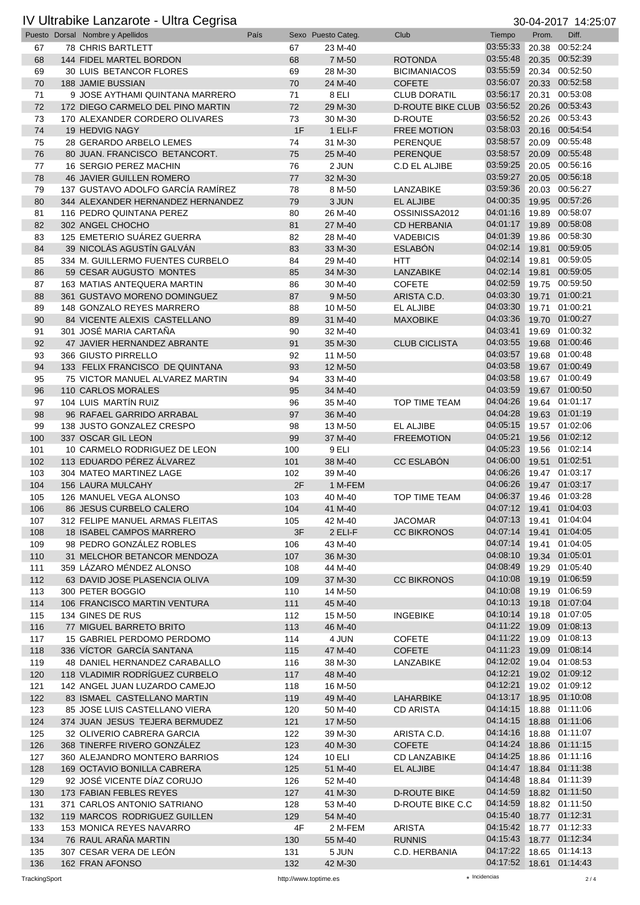## IV Ultrabike Lanzarote - Ultra Cegrisa 30-04-2017 14:25:07

|     | Puesto Dorsal Nombre y Apellidos  | País |    | Sexo Puesto Categ. | Club                                      | Tiempo                  | Prom. | Diff.          |
|-----|-----------------------------------|------|----|--------------------|-------------------------------------------|-------------------------|-------|----------------|
| 67  | <b>78 CHRIS BARTLETT</b>          | 67   |    | 23 M-40            |                                           | 03:55:33                | 20.38 | 00:52:24       |
| 68  | 144 FIDEL MARTEL BORDON           | 68   |    | 7 M-50             | <b>ROTONDA</b>                            | 03:55:48                | 20.35 | 00:52:39       |
|     |                                   | 69   |    |                    |                                           | 03:55:59                |       | 20.34 00:52:50 |
| 69  | 30 LUIS BETANCOR FLORES           |      |    | 28 M-30            | <b>BICIMANIACOS</b>                       |                         |       |                |
| 70  | <b>188 JAMIE BUSSIAN</b>          | 70   |    | 24 M-40            | <b>COFETE</b>                             | 03:56:07                |       | 20.33 00:52:58 |
| 71  | 9 JOSE AYTHAMI QUINTANA MARRERO   | 71   |    | 8 ELI              | <b>CLUB DORATIL</b>                       | 03:56:17                |       | 20.31 00:53:08 |
| 72  | 172 DIEGO CARMELO DEL PINO MARTIN | 72   |    | 29 M-30            | D-ROUTE BIKE CLUB 03:56:52 20.26 00:53:43 |                         |       |                |
| 73  | 170 ALEXANDER CORDERO OLIVARES    | 73   |    | 30 M-30            | <b>D-ROUTE</b>                            | 03:56:52                | 20.26 | 00:53:43       |
|     |                                   |      |    |                    |                                           | 03:58:03                |       | 20.16 00:54:54 |
| 74  | 19 HEDVIG NAGY                    |      | 1F | 1 ELI-F            | <b>FREE MOTION</b>                        |                         |       |                |
| 75  | 28 GERARDO ARBELO LEMES           | 74   |    | 31 M-30            | PERENQUE                                  | 03:58:57                |       | 20.09 00:55:48 |
| 76  | 80 JUAN. FRANCISCO BETANCORT.     | 75   |    | 25 M-40            | <b>PERENQUE</b>                           | 03:58:57                |       | 20.09 00:55:48 |
| 77  | 16 SERGIO PEREZ MACHIN            | 76   |    | 2 JUN              | C.D EL ALJIBE                             | 03:59:25                |       | 20.05 00:56:16 |
| 78  | <b>46 JAVIER GUILLEN ROMERO</b>   | 77   |    | 32 M-30            |                                           | 03:59:27                |       | 20.05 00:56:18 |
|     |                                   |      |    |                    |                                           | 03:59:36                |       | 00:56:27       |
| 79  | 137 GUSTAVO ADOLFO GARCÍA RAMÍREZ | 78   |    | 8 M-50             | LANZABIKE                                 |                         | 20.03 |                |
| 80  | 344 ALEXANDER HERNANDEZ HERNANDEZ | 79   |    | 3 JUN              | EL ALJIBE                                 | 04:00:35                | 19.95 | 00:57:26       |
| 81  | 116 PEDRO QUINTANA PEREZ          | 80   |    | 26 M-40            | OSSINISSA2012                             | 04:01:16                |       | 19.89 00:58:07 |
| 82  | 302 ANGEL CHOCHO                  | 81   |    | 27 M-40            | <b>CD HERBANIA</b>                        | 04:01:17                | 19.89 | 00:58:08       |
| 83  | 125 EMETERIO SUAREZ GUERRA        | 82   |    | 28 M-40            | <b>VADEBICIS</b>                          | 04:01:39                | 19.86 | 00:58:30       |
| 84  | 39 NICOLÁS AGUSTÍN GALVÁN         | 83   |    |                    | <b>ESLABÓN</b>                            | 04:02:14                | 19.81 | 00:59:05       |
|     |                                   |      |    | 33 M-30            |                                           |                         |       |                |
| 85  | 334 M. GUILLERMO FUENTES CURBELO  | 84   |    | 29 M-40            | <b>HTT</b>                                | 04:02:14                | 19.81 | 00:59:05       |
| 86  | 59 CESAR AUGUSTO MONTES           | 85   |    | 34 M-30            | <b>LANZABIKE</b>                          | 04:02:14                | 19.81 | 00:59:05       |
| 87  | 163 MATIAS ANTEQUERA MARTIN       | 86   |    | 30 M-40            | <b>COFETE</b>                             | 04:02:59                |       | 19.75 00:59:50 |
| 88  | 361 GUSTAVO MORENO DOMINGUEZ      | 87   |    | 9 M-50             | ARISTA C.D.                               | 04:03:30                | 19.71 | 01:00:21       |
|     |                                   |      |    |                    |                                           | 04:03:30                |       | 19.71 01:00:21 |
| 89  | 148 GONZALO REYES MARRERO         | 88   |    | 10 M-50            | EL ALJIBE                                 |                         |       |                |
| 90  | 84 VICENTE ALEXIS CASTELLANO      | 89   |    | 31 M-40            | <b>MAXOBIKE</b>                           | 04:03:36                |       | 19.70 01:00:27 |
| 91  | 301 JOSÉ MARIA CARTAÑA            | 90   |    | 32 M-40            |                                           | 04:03:41                | 19.69 | 01:00:32       |
| 92  | 47 JAVIER HERNANDEZ ABRANTE       | 91   |    | 35 M-30            | <b>CLUB CICLISTA</b>                      | 04:03:55                | 19.68 | 01:00:46       |
| 93  | 366 GIUSTO PIRRELLO               | 92   |    | 11 M-50            |                                           | 04:03:57                |       | 19.68 01:00:48 |
|     |                                   |      |    |                    |                                           | 04:03:58                |       | 19.67 01:00:49 |
| 94  | 133 FELIX FRANCISCO DE QUINTANA   | 93   |    | 12 M-50            |                                           |                         |       |                |
| 95  | 75 VICTOR MANUEL ALVAREZ MARTIN   | 94   |    | 33 M-40            |                                           | 04:03:58                |       | 19.67 01:00:49 |
| 96  | 110 CARLOS MORALES                | 95   |    | 34 M-40            |                                           | 04:03:59                |       | 19.67 01:00:50 |
| 97  | 104 LUIS MARTÍN RUIZ              | 96   |    | 35 M-40            | TOP TIME TEAM                             | 04:04:26                |       | 19.64 01:01:17 |
| 98  | 96 RAFAEL GARRIDO ARRABAL         | 97   |    | 36 M-40            |                                           | 04:04:28                |       | 19.63 01:01:19 |
|     |                                   |      |    |                    |                                           |                         |       |                |
| 99  | 138 JUSTO GONZALEZ CRESPO         | 98   |    | 13 M-50            | EL ALJIBE                                 | 04:05:15                |       | 19.57 01:02:06 |
| 100 | 337 OSCAR GIL LEON                | 99   |    | 37 M-40            | <b>FREEMOTION</b>                         | 04:05:21                |       | 19.56 01:02:12 |
| 101 | 10 CARMELO RODRIGUEZ DE LEON      | 100  |    | 9 ELI              |                                           | 04:05:23                |       | 19.56 01:02:14 |
| 102 | 113 EDUARDO PÉREZ ÁLVAREZ         | 101  |    | 38 M-40            | <b>CC ESLABÓN</b>                         | 04:06:00                |       | 19.51 01:02:51 |
| 103 | 304 MATEO MARTINEZ LAGE           | 102  |    | 39 M-40            |                                           | 04:06:26                |       | 19.47 01:03:17 |
|     |                                   |      |    |                    |                                           |                         |       |                |
| 104 | <b>156 LAURA MULCAHY</b>          |      | 2F | 1 M-FEM            |                                           | 04:06:26                |       | 19.47 01:03:17 |
| 105 | 126 MANUEL VEGA ALONSO            | 103  |    | 40 M-40            | <b>TOP TIME TEAM</b>                      | 04:06:37                |       | 19.46 01:03:28 |
| 106 | 86 JESUS CURBELO CALERO           | 104  |    | 41 M-40            |                                           | 04:07:12 19.41 01:04:03 |       |                |
| 107 | 312 FELIPE MANUEL ARMAS FLEITAS   | 105  |    | 42 M-40            | <b>JACOMAR</b>                            | 04:07:13 19.41 01:04:04 |       |                |
| 108 | 18 ISABEL CAMPOS MARRERO          |      | 3F | 2 ELI-F            | <b>CC BIKRONOS</b>                        | 04:07:14                |       | 19.41 01:04:05 |
|     |                                   |      |    |                    |                                           |                         |       |                |
| 109 | 98 PEDRO GONZÁLEZ ROBLES          | 106  |    | 43 M-40            |                                           | 04:07:14                |       | 19.41 01:04:05 |
| 110 | 31 MELCHOR BETANCOR MENDOZA       | 107  |    | 36 M-30            |                                           | 04:08:10                |       | 19.34 01:05:01 |
| 111 | 359 LÁZARO MÉNDEZ ALONSO          | 108  |    | 44 M-40            |                                           | 04:08:49                |       | 19.29 01:05:40 |
| 112 | 63 DAVID JOSE PLASENCIA OLIVA     | 109  |    | 37 M-30            | <b>CC BIKRONOS</b>                        | 04:10:08                |       | 19.19 01:06:59 |
|     |                                   |      |    | 14 M-50            |                                           | 04:10:08                |       | 19.19 01:06:59 |
| 113 | 300 PETER BOGGIO                  | 110  |    |                    |                                           |                         |       |                |
| 114 | 106 FRANCISCO MARTIN VENTURA      | 111  |    | 45 M-40            |                                           | 04:10:13                |       | 19.18 01:07:04 |
| 115 | 134 GINES DE RUS                  | 112  |    | 15 M-50            | <b>INGEBIKE</b>                           | 04:10:14                |       | 19.18 01:07:05 |
| 116 | 77 MIGUEL BARRETO BRITO           | 113  |    | 46 M-40            |                                           | 04:11:22                |       | 19.09 01:08:13 |
| 117 | 15 GABRIEL PERDOMO PERDOMO        | 114  |    | 4 JUN              | <b>COFETE</b>                             | 04:11:22                |       | 19.09 01:08:13 |
|     | 336 VÍCTOR GARCÍA SANTANA         |      |    |                    |                                           | 04:11:23                |       | 19.09 01:08:14 |
| 118 |                                   | 115  |    | 47 M-40            | <b>COFETE</b>                             |                         |       |                |
| 119 | 48 DANIEL HERNANDEZ CARABALLO     | 116  |    | 38 M-30            | LANZABIKE                                 | 04:12:02                |       | 19.04 01:08:53 |
| 120 | 118 VLADIMIR RODRÍGUEZ CURBELO    | 117  |    | 48 M-40            |                                           | 04:12:21                |       | 19.02 01:09:12 |
| 121 | 142 ANGEL JUAN LUZARDO CAMEJO     | 118  |    | 16 M-50            |                                           | 04:12:21                |       | 19.02 01:09:12 |
| 122 | 83 ISMAEL CASTELLANO MARTIN       | 119  |    | 49 M-40            | LAHARBIKE                                 | 04:13:17                |       | 18.95 01:10:08 |
|     |                                   |      |    |                    |                                           | 04:14:15                |       | 18.88 01:11:06 |
| 123 | 85 JOSE LUIS CASTELLANO VIERA     | 120  |    | 50 M-40            | <b>CD ARISTA</b>                          |                         |       |                |
| 124 | 374 JUAN JESUS TEJERA BERMUDEZ    | 121  |    | 17 M-50            |                                           | 04:14:15                |       | 18.88 01:11:06 |
| 125 | 32 OLIVERIO CABRERA GARCIA        | 122  |    | 39 M-30            | ARISTA C.D.                               | 04:14:16                |       | 18.88 01:11:07 |
| 126 | 368 TINERFE RIVERO GONZÁLEZ       | 123  |    | 40 M-30            | <b>COFETE</b>                             | 04:14:24                |       | 18.86 01:11:15 |
| 127 | 360 ALEJANDRO MONTERO BARRIOS     | 124  |    | 10 ELI             | <b>CD LANZABIKE</b>                       | 04:14:25                |       | 18.86 01:11:16 |
|     |                                   |      |    |                    |                                           |                         |       |                |
| 128 | 169 OCTAVIO BONILLA CABRERA       | 125  |    | 51 M-40            | EL ALJIBE                                 | 04:14:47                |       | 18.84 01:11:38 |
| 129 | 92 JOSÉ VICENTE DÍAZ CORUJO       | 126  |    | 52 M-40            |                                           | 04:14:48                |       | 18.84 01:11:39 |
| 130 | 173 FABIAN FEBLES REYES           | 127  |    | 41 M-30            | <b>D-ROUTE BIKE</b>                       | 04:14:59                |       | 18.82 01:11:50 |
| 131 | 371 CARLOS ANTONIO SATRIANO       | 128  |    | 53 M-40            | D-ROUTE BIKE C.C                          | 04:14:59                |       | 18.82 01:11:50 |
|     | 119 MARCOS RODRIGUEZ GUILLEN      |      |    |                    |                                           | 04:15:40                |       | 18.77 01:12:31 |
| 132 |                                   | 129  |    | 54 M-40            |                                           |                         |       |                |
| 133 | 153 MONICA REYES NAVARRO          |      | 4F | 2 M-FEM            | <b>ARISTA</b>                             | 04:15:42                |       | 18.77 01:12:33 |
| 134 | 76 RAUL ARAÑA MARTIN              | 130  |    | 55 M-40            | <b>RUNNIS</b>                             | 04:15:43                |       | 18.77 01:12:34 |
| 135 | 307 CESAR VERA DE LEON            | 131  |    | 5 JUN              | C.D. HERBANIA                             | 04:17:22                |       | 18.65 01:14:13 |
| 136 | 162 FRAN AFONSO                   | 132  |    | 42 M-30            |                                           | 04:17:52 18.61 01:14:43 |       |                |
|     |                                   |      |    |                    |                                           |                         |       |                |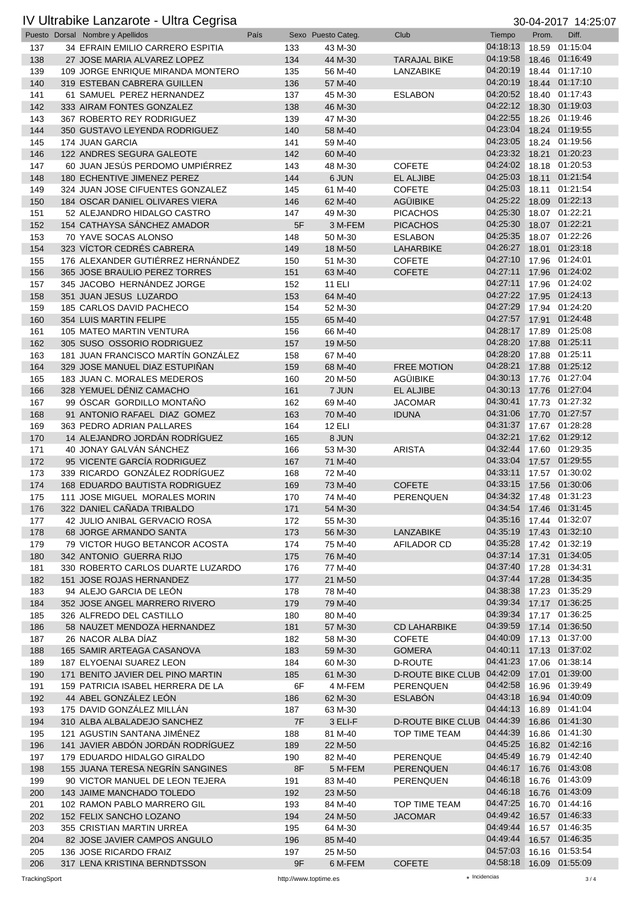### IV Ultrabike Lanzarote - Ultra Cegrisa 30-04-2017 14:25:07

|            | Puesto Dorsal Nombre y Apellidos                             | País |            | Sexo Puesto Categ. | Club                              | Tiempo                              | Prom. | Diff.                            |
|------------|--------------------------------------------------------------|------|------------|--------------------|-----------------------------------|-------------------------------------|-------|----------------------------------|
| 137        | 34 EFRAIN EMILIO CARRERO ESPITIA                             |      | 133        | 43 M-30            |                                   | 04:18:13                            |       | 18.59 01:15:04                   |
| 138        | 27 JOSE MARIA ALVAREZ LOPEZ                                  |      | 134        | 44 M-30            | <b>TARAJAL BIKE</b>               | 04:19:58                            |       | 18.46 01:16:49                   |
| 139        | 109 JORGE ENRIQUE MIRANDA MONTERO                            |      | 135        | 56 M-40            | LANZABIKE                         | 04:20:19                            |       | 18.44 01:17:10                   |
| 140        | 319 ESTEBAN CABRERA GUILLEN                                  |      | 136        | 57 M-40            |                                   | 04:20:19                            |       | 18.44 01:17:10                   |
| 141        | 61 SAMUEL PEREZ HERNANDEZ                                    |      | 137        | 45 M-30            | <b>ESLABON</b>                    | 04:20:52                            |       | 18.40 01:17:43                   |
| 142        | 333 AIRAM FONTES GONZALEZ                                    |      | 138        | 46 M-30            |                                   | 04:22:12                            |       | 18.30 01:19:03                   |
| 143        | 367 ROBERTO REY RODRIGUEZ                                    |      | 139        | 47 M-30            |                                   | 04:22:55                            |       | 18.26 01:19:46                   |
| 144        | 350 GUSTAVO LEYENDA RODRIGUEZ                                |      | 140        | 58 M-40            |                                   | 04:23:04                            |       | 18.24 01:19:55                   |
| 145        | 174 JUAN GARCIA                                              |      | 141        | 59 M-40            |                                   | 04:23:05                            |       | 18.24 01:19:56                   |
| 146        | 122 ANDRES SEGURA GALEOTE<br>60 JUAN JESÚS PERDOMO UMPIÉRREZ |      | 142        | 60 M-40            |                                   | 04:23:32<br>04:24:02                |       | 18.21 01:20:23<br>18.18 01:20:53 |
| 147<br>148 | 180 ECHENTIVE JIMENEZ PEREZ                                  |      | 143<br>144 | 48 M-30<br>6 JUN   | <b>COFETE</b><br><b>EL ALJIBE</b> | 04:25:03                            | 18.11 | 01:21:54                         |
| 149        | 324 JUAN JOSE CIFUENTES GONZALEZ                             |      | 145        | 61 M-40            | <b>COFETE</b>                     | 04:25:03                            |       | 18.11 01:21:54                   |
| 150        | 184 OSCAR DANIEL OLIVARES VIERA                              |      | 146        | 62 M-40            | <b>AGÜIBIKE</b>                   | 04:25:22                            |       | 18.09 01:22:13                   |
| 151        | 52 ALEJANDRO HIDALGO CASTRO                                  |      | 147        | 49 M-30            | <b>PICACHOS</b>                   | 04:25:30                            |       | 18.07 01:22:21                   |
| 152        | 154 CATHAYSA SÁNCHEZ AMADOR                                  |      | 5F         | 3 M-FEM            | <b>PICACHOS</b>                   | 04:25:30                            |       | 18.07 01:22:21                   |
| 153        | 70 YAVE SOCAS ALONSO                                         |      | 148        | 50 M-30            | <b>ESLABON</b>                    | 04:25:35                            |       | 18.07 01:22:26                   |
| 154        | 323 VÍCTOR CEDRÉS CABRERA                                    |      | 149        | 18 M-50            | LAHARBIKE                         | 04:26:27                            |       | 18.01 01:23:18                   |
| 155        | 176 ALEXANDER GUTIERREZ HERNANDEZ                            |      | 150        | 51 M-30            | <b>COFETE</b>                     | 04:27:10                            |       | 17.96 01:24:01                   |
| 156        | 365 JOSE BRAULIO PEREZ TORRES                                |      | 151        | 63 M-40            | <b>COFETE</b>                     | 04:27:11                            |       | 17.96 01:24:02                   |
| 157        | 345 JACOBO HERNÁNDEZ JORGE                                   |      | 152        | <b>11 ELI</b>      |                                   | 04:27:11                            |       | 17.96 01:24:02                   |
| 158        | 351 JUAN JESUS LUZARDO                                       |      | 153        | 64 M-40            |                                   | 04:27:22                            |       | 17.95 01:24:13                   |
| 159        | 185 CARLOS DAVID PACHECO                                     |      | 154        | 52 M-30            |                                   | 04:27:29                            |       | 17.94 01:24:20                   |
| 160        | 354 LUIS MARTIN FELIPE                                       |      | 155        | 65 M-40            |                                   | 04:27:57                            |       | 17.91 01:24:48                   |
| 161        | 105 MATEO MARTIN VENTURA                                     |      | 156        | 66 M-40            |                                   | 04:28:17                            |       | 17.89 01:25:08                   |
| 162        | 305 SUSO OSSORIO RODRIGUEZ                                   |      | 157        | 19 M-50            |                                   | 04:28:20                            |       | 17.88 01:25:11                   |
| 163        | 181 JUAN FRANCISCO MARTÍN GONZÁLEZ                           |      | 158        | 67 M-40            |                                   | 04:28:20                            |       | 17.88 01:25:11                   |
| 164        | 329 JOSE MANUEL DIAZ ESTUPIÑAN                               |      | 159        | 68 M-40            | <b>FREE MOTION</b>                | 04:28:21                            |       | 17.88 01:25:12                   |
| 165        | 183 JUAN C. MORALES MEDEROS                                  |      | 160        | 20 M-50            | AGÜIBIKE                          | 04:30:13                            |       | 17.76 01:27:04<br>17.76 01:27:04 |
| 166        | 328 YEMUEL DÉNIZ CAMACHO                                     |      | 161        | 7 JUN              | <b>EL ALJIBE</b>                  | 04:30:13<br>04:30:41                |       |                                  |
| 167<br>168 | 99 OSCAR GORDILLO MONTAÑO<br>91 ANTONIO RAFAEL DIAZ GOMEZ    |      | 162<br>163 | 69 M-40<br>70 M-40 | <b>JACOMAR</b><br><b>IDUNA</b>    | 04:31:06                            |       | 17.73 01:27:32<br>17.70 01:27:57 |
| 169        | 363 PEDRO ADRIAN PALLARES                                    |      | 164        | <b>12 ELI</b>      |                                   | 04:31:37                            |       | 17.67 01:28:28                   |
| 170        | 14 ALEJANDRO JORDÁN RODRÍGUEZ                                |      | 165        | 8 JUN              |                                   | 04:32:21                            |       | 17.62 01:29:12                   |
| 171        | 40 JONAY GALVÁN SÁNCHEZ                                      |      | 166        | 53 M-30            | <b>ARISTA</b>                     | 04:32:44                            |       | 17.60 01:29:35                   |
| 172        | 95 VICENTE GARCÍA RODRIGUEZ                                  |      | 167        | 71 M-40            |                                   | 04:33:04                            |       | 17.57 01:29:55                   |
| 173        | 339 RICARDO GONZÁLEZ RODRÍGUEZ                               |      | 168        | 72 M-40            |                                   | 04:33:11                            |       | 17.57 01:30:02                   |
| 174        | 168 EDUARDO BAUTISTA RODRIGUEZ                               |      | 169        | 73 M-40            | <b>COFETE</b>                     | 04:33:15                            |       | 17.56 01:30:06                   |
| 175        | 111 JOSE MIGUEL MORALES MORIN                                |      | 170        | 74 M-40            | PERENQUEN                         | 04:34:32 17.48 01:31:23             |       |                                  |
| 176        | 322 DANIEL CAÑADA TRIBALDO                                   |      | 171        | 54 M-30            |                                   | 04:34:54 17.46 01:31:45             |       |                                  |
| 177        | 42 JULIO ANIBAL GERVACIO ROSA                                |      | 172        | 55 M-30            |                                   | 04:35:16 17.44 01:32:07             |       |                                  |
| 178        | 68 JORGE ARMANDO SANTA                                       |      | 173        | 56 M-30            | LANZABIKE                         | 04:35:19 17.43 01:32:10             |       |                                  |
| 179        | 79 VICTOR HUGO BETANCOR ACOSTA                               |      | 174        | 75 M-40            | AFILADOR CD                       | 04:35:28                            |       | 17.42 01:32:19                   |
| 180        | 342 ANTONIO GUERRA RIJO                                      |      | 175        | 76 M-40            |                                   | 04:37:14 17.31 01:34:05             |       |                                  |
| 181        | 330 ROBERTO CARLOS DUARTE LUZARDO                            |      | 176        | 77 M-40            |                                   | 04:37:40                            |       | 17.28 01:34:31                   |
| 182        | 151 JOSE ROJAS HERNANDEZ                                     |      | 177        | 21 M-50            |                                   | 04:37:44                            |       | 17.28 01:34:35                   |
| 183        | 94 ALEJO GARCIA DE LEÓN                                      |      | 178        | 78 M-40            |                                   | 04:38:38                            |       | 17.23 01:35:29                   |
| 184        | 352 JOSE ANGEL MARRERO RIVERO                                |      | 179        | 79 M-40            |                                   | 04:39:34 17.17 01:36:25<br>04:39:34 |       |                                  |
| 185<br>186 | 326 ALFREDO DEL CASTILLO<br>58 NAUZET MENDOZA HERNANDEZ      |      | 180<br>181 | 80 M-40<br>57 M-30 | <b>CD LAHARBIKE</b>               | 04:39:59                            |       | 17.17 01:36:25<br>17.14 01:36:50 |
| 187        | 26 NACOR ALBA DÍAZ                                           |      | 182        | 58 M-30            | <b>COFETE</b>                     | 04:40:09                            |       | 17.13 01:37:00                   |
| 188        | 165 SAMIR ARTEAGA CASANOVA                                   |      | 183        | 59 M-30            | <b>GOMERA</b>                     | 04:40:11                            |       | 17.13 01:37:02                   |
| 189        | 187 ELYOENAI SUAREZ LEON                                     |      | 184        | 60 M-30            | D-ROUTE                           | 04:41:23                            |       | 17.06 01:38:14                   |
| 190        | 171 BENITO JAVIER DEL PINO MARTIN                            |      | 185        | 61 M-30            | D-ROUTE BIKE CLUB 04:42:09        |                                     |       | 17.01 01:39:00                   |
| 191        | 159 PATRICIA ISABEL HERRERA DE LA                            |      | 6F         | 4 M-FEM            | PERENQUEN                         | 04:42:58                            |       | 16.96 01:39:49                   |
| 192        | 44 ABEL GONZÁLEZ LEÓN                                        |      | 186        | 62 M-30            | <b>ESLABÓN</b>                    | 04:43:18                            |       | 16.94 01:40:09                   |
| 193        | 175 DAVID GONZÁLEZ MILLÁN                                    |      | 187        | 63 M-30            |                                   | 04:44:13                            |       | 16.89 01:41:04                   |
| 194        | 310 ALBA ALBALADEJO SANCHEZ                                  |      | 7F         | 3 ELI-F            | D-ROUTE BIKE CLUB 04:44:39        |                                     |       | 16.86 01:41:30                   |
| 195        | 121 AGUSTIN SANTANA JIMÉNEZ                                  |      | 188        | 81 M-40            | TOP TIME TEAM                     | 04:44:39                            |       | 16.86 01:41:30                   |
| 196        | 141 JAVIER ABDÓN JORDÁN RODRÍGUEZ                            |      | 189        | 22 M-50            |                                   | 04:45:25                            |       | 16.82 01:42:16                   |
| 197        | 179 EDUARDO HIDALGO GIRALDO                                  |      | 190        | 82 M-40            | PERENQUE                          | 04:45:49                            |       | 16.79 01:42:40                   |
| 198        | 155 JUANA TERESA NEGRÍN SANGINES                             |      | 8F         | 5 M-FEM            | PERENQUEN                         | 04:46:17                            |       | 16.76 01:43:08                   |
| 199        | 90 VICTOR MANUEL DE LEON TEJERA                              |      | 191        | 83 M-40            | <b>PERENQUEN</b>                  | 04:46:18                            |       | 16.76 01:43:09                   |
| 200        | 143 JAIME MANCHADO TOLEDO                                    |      | 192        | 23 M-50            |                                   | 04:46:18                            |       | 16.76 01:43:09                   |
| 201        | 102 RAMON PABLO MARRERO GIL                                  |      | 193        | 84 M-40            | TOP TIME TEAM                     | 04:47:25                            |       | 16.70 01:44:16                   |
| 202        | 152 FELIX SANCHO LOZANO                                      |      | 194        | 24 M-50            | <b>JACOMAR</b>                    | 04:49:42 16.57 01:46:33             |       |                                  |
| 203        | 355 CRISTIAN MARTIN URREA                                    |      | 195        | 64 M-30            |                                   | 04:49:44<br>04:49:44                |       | 16.57 01:46:35<br>16.57 01:46:35 |
| 204<br>205 | 82 JOSE JAVIER CAMPOS ANGULO<br>136 JOSE RICARDO FRAIZ       |      | 196<br>197 | 85 M-40<br>25 M-50 |                                   | 04:57:03                            |       | 16.16 01:53:54                   |
| 206        | 317 LENA KRISTINA BERNDTSSON                                 |      | 9F         | 6 M-FEM            | <b>COFETE</b>                     | 04:58:18 16.09 01:55:09             |       |                                  |
|            |                                                              |      |            |                    |                                   |                                     |       |                                  |

TrackingSport http://www.toptime.es